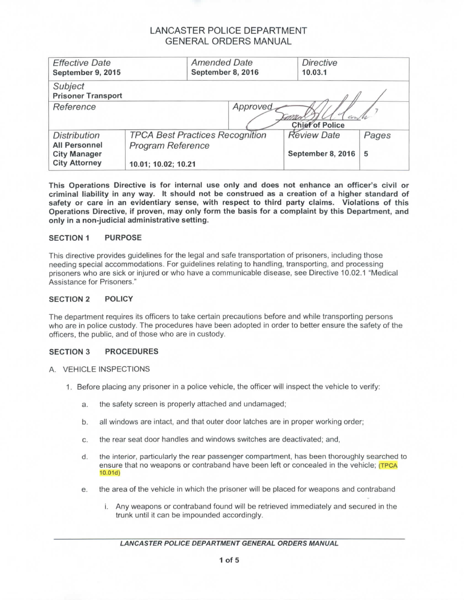| <b>Effective Date</b><br>September 9, 2015                                                 | <b>Amended Date</b><br>September 8, 2016                                           |          | <b>Directive</b><br>10.03.1             |            |
|--------------------------------------------------------------------------------------------|------------------------------------------------------------------------------------|----------|-----------------------------------------|------------|
| Subject<br><b>Prisoner Transport</b>                                                       |                                                                                    |          |                                         |            |
| Reference                                                                                  |                                                                                    | Approved | <b>Chief of Police</b>                  |            |
| <b>Distribution</b><br><b>All Personnel</b><br><b>City Manager</b><br><b>City Attorney</b> | <b>TPCA Best Practices Recognition</b><br>Program Reference<br>10.01; 10.02; 10.21 |          | <b>Review Date</b><br>September 8, 2016 | Pages<br>5 |

**This Operations Directive is for internal use only and does not enhance an officer's civil or criminal liability in any way. It should not be construed as a creation of a higher standard of safety or care in an evidentiary sense, with respect to third party claims. Violations of this Operations Directive, if proven, may only form the basis for a complaint by this Department, and only in a non-judicial administrative setting.**

### **SECTION 1 PURPOSE**

This directive provides guidelines for the legal and safe transportation of prisoners, including those needing special accommodations. For guidelines relating to handling, transporting, and processing prisoners who are sick or injured or who have a communicable disease, see Directive 10.02.1 "Medical Assistance for Prisoners."

#### **SECTION 2 POLICY**

The department requires its officers to take certain precautions before and while transporting persons who are in police custody. The procedures have been adopted in order to better ensure the safety of the officers, the public, and of those who are in custody.

### **SECTION 3 PROCEDURES**

#### A. VEHICLE INSPECTIONS

- 1. Before placing any prisoner in a police vehicle, the officer will inspect the vehicle to verify:
	- a. the safety screen is properly attached and undamaged;
	- b. all windows are intact, and that outer door latches are in proper working order;
	- c. the rear seat door handles and windows switches are deactivated; and,
	- d. the interior, particularly the rear passenger compartment, has been thoroughly searched to ensure that no weapons or contraband have been left or concealed in the vehicle; (TPCA 10.01d)
	- e. the area of the vehicle in which the prisoner will be placed for weapons and contraband
		- i. Any weapons or contraband found will be retrieved immediately and secured in the trunk until it can be impounded accordingly.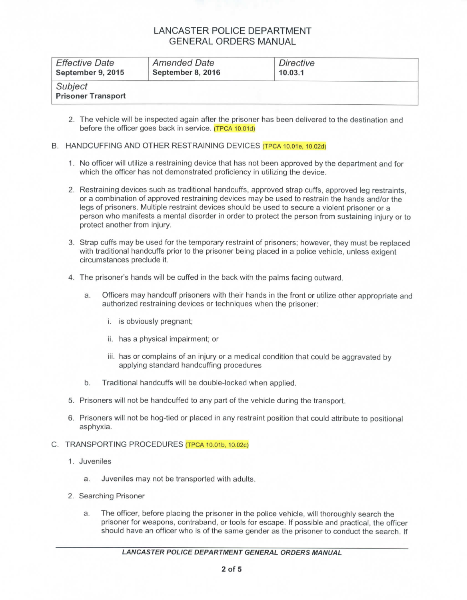| <b>Effective Date</b>                | <b>Amended Date</b> | Directive |  |
|--------------------------------------|---------------------|-----------|--|
| September 9, 2015                    | September 8, 2016   | 10.03.1   |  |
| Subject<br><b>Prisoner Transport</b> |                     |           |  |

2. The vehicle will be inspected again after the prisoner has been delivered to the destination and before the officer goes back in service. (TPCA 10.01d)

#### B. HANDCUFFING AND OTHER RESTRAINING DEVICES (TPCA 10.01e, 10.02d)

- 1. No officer will utilize a restraining device that has not been approved by the department and for which the officer has not demonstrated proficiency in utilizing the device.
- 2. Restraining devices such as traditional handcuffs, approved strap cuffs, approved leg restraints, or a combination of approved restraining devices may be used to restrain the hands and/or the legs of prisoners. Multiple restraint devices should be used to secure a violent prisoner or a person who manifests a mental disorder in order to protect the person from sustaining injury or to protect another from injury.
- 3. Strap cuffs may be used for the temporary restraint of prisoners; however, they must be replaced with traditional handcuffs prior to the prisoner being placed in a police vehicle, unless exigent circumstances preclude it.
- 4. The prisoner's hands will be cuffed in the back with the palms facing outward.
	- a. Officers may handcuff prisoners with their hands in the front or utilize other appropriate and authorized restraining devices or techniques when the prisoner:
		- i. is obviously pregnant;
		- ii. has a physical impairment; or
		- iii. has or complains of an injury or a medical condition that could be aggravated by applying standard handcuffing procedures
	- b. Traditional handcuffs will be double-locked when applied.
- 5. Prisoners will not be handcuffed to any part of the vehicle during the transport.
- 6. Prisoners will not be hog-tied or placed in any restraint position that could attribute to positional asphyxia.

#### C. TRANSPORTING PROCEDURES (TPCA 10.01b, 10.02c)

- 1. Juveniles
	- a. Juveniles may not be transported with adults.
- 2. Searching Prisoner
	- a. The officer, before placing the prisoner in the police vehicle, will thoroughly search the prisoner for weapons, contraband, or tools for escape. If possible and practical, the officer should have an officer who is of the same gender as the prisoner to conduct the search. If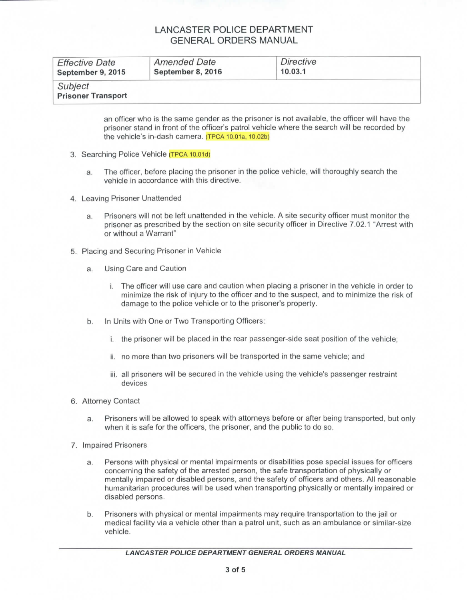| <b>Effective Date</b>                | <b>Amended Date</b> | Directive |  |
|--------------------------------------|---------------------|-----------|--|
| September 9, 2015                    | September 8, 2016   | 10.03.1   |  |
| Subject<br><b>Prisoner Transport</b> |                     |           |  |

an officer who is the same gender as the prisoner is not available, the officer will have the prisoner stand in front of the officer's patrol vehicle where the search will be recorded by the vehicle's in-dash camera. (TPCA 10.01a, 10.02b)

- 3. Searching Police Vehicle (TPCA 10.01d)
	- a. The officer, before placing the prisoner in the police vehicle, will thoroughly search the vehicle in accordance with this directive.
- 4. Leaving Prisoner Unattended
	- a. Prisoners will not be left unattended in the vehicle. A site security officer must monitor the prisoner as prescribed by the section on site security officer in Directive 7.02.1 "Arrest with or without a Warrant"
- 5. Placing and Securing Prisoner in Vehicle
	- a. Using Care and Caution
		- i. The officer will use care and caution when placing a prisoner in the vehicle in order to minimize the risk of injury to the officer and to the suspect, and to minimize the risk of damage to the police vehicle or to the prisoner's property.
	- b. In Units with One or Two Transporting Officers:
		- i. the prisoner will be placed in the rear passenger-side seat position of the vehicle;
		- ii. no more than two prisoners will be transported in the same vehicle; and
		- iii. all prisoners will be secured in the vehicle using the vehicle's passenger restraint devices
- 6. Attorney Contact
	- a. Prisoners will be allowed to speak with attorneys before or after being transported, but only when it is safe for the officers, the prisoner, and the public to do so.
- 7. Impaired Prisoners
	- a. Persons with physical or mental impairments or disabilities pose special issues for officers concerning the safety of the arrested person, the safe transportation of physically or mentally impaired or disabled persons, and the safety of officers and others. All reasonable humanitarian procedures will be used when transporting physically or mentally impaired or disabled persons.
	- b. Prisoners with physical or mental impairments may require transportation to the jail or medical facility via a vehicle other than a patrol unit, such as an ambulance or similar-size vehicle.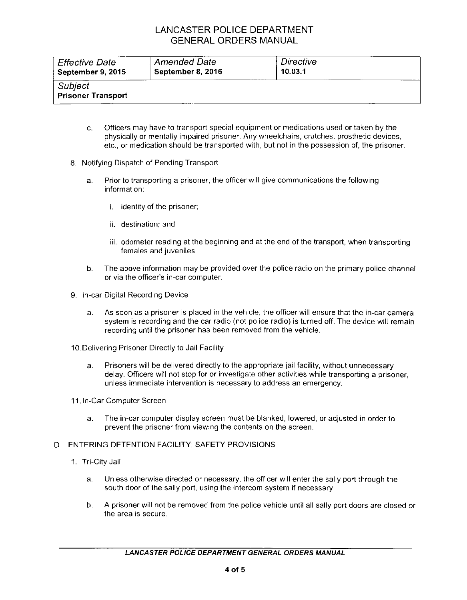| <b>Effective Date</b>                | <b>Amended Date</b> | Directive |  |
|--------------------------------------|---------------------|-----------|--|
| September 9, 2015                    | September 8, 2016   | 10.03.1   |  |
| Subject<br><b>Prisoner Transport</b> |                     |           |  |

- c. Officers may have to transport special equipment or medications used or taken by the physically or mentally impaired prisoner. Any wheelchairs, crutches, prosthetic devices, etc., or medication should be transported with, but not in the possession of, the prisoner.
- 8. Notifying Dispatch of Pending Transport
	- a. Prior to transporting a prisoner, the officer will give communications the following information:
		- i. identity of the prisoner;
		- ii. destination; and
		- iii. odometer reading at the beginning and at the end of the transport, when transporting females and juveniles
	- b. The above information may be provided over the police radio on the primary police channel or via the officer's in-car computer.
- 9. In-car Digital Recording Device
	- a. As soon as a prisoner is placed in the vehicle, the officer will ensure that the in-car camera system is recording and the car radio (not police radio) is turned off. The device will remain recording until the prisoner has been removed from the vehicle.
- 10.Delivering Prisoner Directly to Jail Facility
	- a. Prisoners will be delivered directly to the appropriate jail facility, without unnecessary delay. Officers will not stop for or investigate other activities while transporting a prisoner, unless immediate intervention is necessary to address an emergency.

11. In-Car Computer Screen

a. The in-car computer display screen must be blanked, lowered, or adjusted in order to prevent the prisoner from viewing the contents on the screen.

### D. ENTERING DETENTION FACILITY; SAFETY PROVISIONS

- 1. Tri-CityJail
	- a. Unless otherwise directed or necessary, the officer will enter the sally port through the south door of the sally port, using the intercom system if necessary.
	- b. A prisoner will not be removed from the police vehicle until all sally port doors are closed or the area is secure.